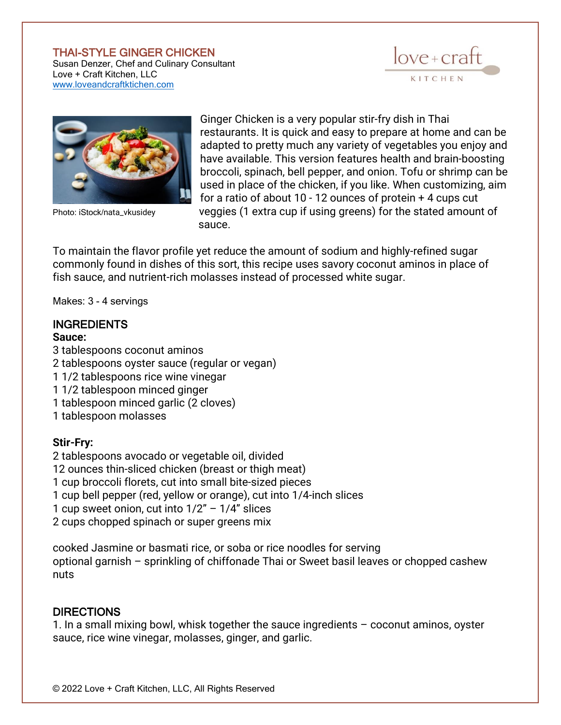#### THAI-STYLE GINGER CHICKEN

Susan Denzer, Chef and Culinary Consultant Love + Craft Kitchen, LLC [www.loveandcraftktichen.com](http://www.loveandcraftktichen.com/)





Ginger Chicken is a very popular stir-fry dish in Thai restaurants. It is quick and easy to prepare at home and can be adapted to pretty much any variety of vegetables you enjoy and have available. This version features health and brain-boosting broccoli, spinach, bell pepper, and onion. Tofu or shrimp can be used in place of the chicken, if you like. When customizing, aim for a ratio of about 10 - 12 ounces of protein + 4 cups cut Photo: iStock/nata\_vkusidey veggies (1 extra cup if using greens) for the stated amount of sauce.

To maintain the flavor profile yet reduce the amount of sodium and highly-refined sugar commonly found in dishes of this sort, this recipe uses savory coconut aminos in place of fish sauce, and nutrient-rich molasses instead of processed white sugar.

Makes: 3 - 4 servings

# **INGREDIENTS**

# **Sauce:**

3 tablespoons coconut aminos 2 tablespoons oyster sauce (regular or vegan) 1 1/2 tablespoons rice wine vinegar 1 1/2 tablespoon minced ginger 1 tablespoon minced garlic (2 cloves) 1 tablespoon molasses

## **Stir-Fry:**

 tablespoons avocado or vegetable oil, divided ounces thin-sliced chicken (breast or thigh meat) cup broccoli florets, cut into small bite-sized pieces cup bell pepper (red, yellow or orange), cut into 1/4-inch slices 1 cup sweet onion, cut into  $1/2" - 1/4"$  slices 2 cups chopped spinach or super greens mix

cooked Jasmine or basmati rice, or soba or rice noodles for serving optional garnish – sprinkling of chiffonade Thai or Sweet basil leaves or chopped cashew nuts

## **DIRECTIONS**

1. In a small mixing bowl, whisk together the sauce ingredients – coconut aminos, oyster sauce, rice wine vinegar, molasses, ginger, and garlic.